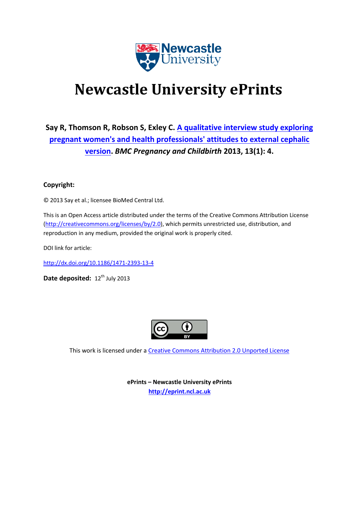

# **Newcastle University ePrints**

**Say R, Thomson R, Robson S, Exley C. [A qualitative interview study exploring](javascript:ViewPublication(191430);)  [pregnant women's and health professionals' attitudes to external cephalic](javascript:ViewPublication(191430);)  [version.](javascript:ViewPublication(191430);)** *BMC Pregnancy and Childbirth* **2013, 13(1): 4.**

# **Copyright:**

© 2013 Say et al.; licensee BioMed Central Ltd.

This is an Open Access article distributed under the terms of the Creative Commons Attribution License [\(http://creativecommons.org/licenses/by/2.0\)](http://creativecommons.org/licenses/by/2.0), which permits unrestricted use, distribution, and reproduction in any medium, provided the original work is properly cited.

DOI link for article:

<http://dx.doi.org/10.1186/1471-2393-13-4>

**Date deposited:** 12<sup>th</sup> July 2013



This work is licensed under a [Creative Commons Attribution 2.0 Unported License](http://creativecommons.org/licenses/by/2.0/)

**ePrints – Newcastle University ePrints [http://eprint.ncl.ac.uk](http://eprint.ncl.ac.uk/)**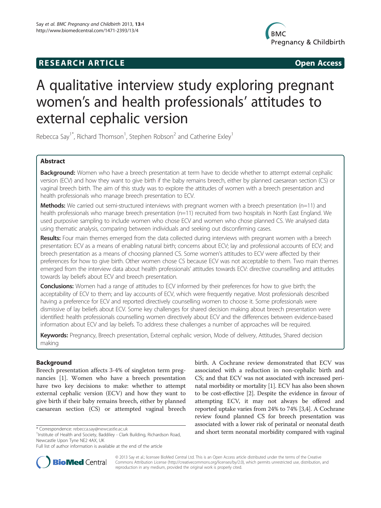# **RESEARCH ARTICLE Example 2018 12:00 Open Access**



# A qualitative interview study exploring pregnant women's and health professionals' attitudes to external cephalic version

Rebecca Say<sup>1\*</sup>, Richard Thomson<sup>1</sup>, Stephen Robson<sup>2</sup> and Catherine Exley<sup>1</sup>

# Abstract

Background: Women who have a breech presentation at term have to decide whether to attempt external cephalic version (ECV) and how they want to give birth if the baby remains breech, either by planned caesarean section (CS) or vaginal breech birth. The aim of this study was to explore the attitudes of women with a breech presentation and health professionals who manage breech presentation to ECV.

Methods: We carried out semi-structured interviews with pregnant women with a breech presentation (n=11) and health professionals who manage breech presentation (n=11) recruited from two hospitals in North East England. We used purposive sampling to include women who chose ECV and women who chose planned CS. We analysed data using thematic analysis, comparing between individuals and seeking out disconfirming cases.

Results: Four main themes emerged from the data collected during interviews with pregnant women with a breech presentation: ECV as a means of enabling natural birth; concerns about ECV; lay and professional accounts of ECV; and breech presentation as a means of choosing planned CS. Some women's attitudes to ECV were affected by their preferences for how to give birth. Other women chose CS because ECV was not acceptable to them. Two main themes emerged from the interview data about health professionals' attitudes towards ECV: directive counselling and attitudes towards lay beliefs about ECV and breech presentation.

**Conclusions:** Women had a range of attitudes to ECV informed by their preferences for how to give birth; the acceptability of ECV to them; and lay accounts of ECV, which were frequently negative. Most professionals described having a preference for ECV and reported directively counselling women to choose it. Some professionals were dismissive of lay beliefs about ECV. Some key challenges for shared decision making about breech presentation were identified: health professionals counselling women directively about ECV and the differences between evidence-based information about ECV and lay beliefs. To address these challenges a number of approaches will be required.

Keywords: Pregnancy, Breech presentation, External cephalic version, Mode of delivery, Attitudes, Shared decision making

# Background

Breech presentation affects 3-4% of singleton term pregnancies [[1\]](#page-9-0). Women who have a breech presentation have two key decisions to make: whether to attempt external cephalic version (ECV) and how they want to give birth if their baby remains breech, either by planned caesarean section (CS) or attempted vaginal breech

Full list of author information is available at the end of the article





© 2013 Say et al.; licensee BioMed Central Ltd. This is an Open Access article distributed under the terms of the Creative Commons Attribution License [\(http://creativecommons.org/licenses/by/2.0\)](http://creativecommons.org/licenses/by/2.0), which permits unrestricted use, distribution, and reproduction in any medium, provided the original work is properly cited.

<sup>&</sup>lt;sup>1</sup> Institute of Health and Society, Baddiley - Clark Building, Richardson Road, Newcastle Upon Tyne NE2 4AX, UK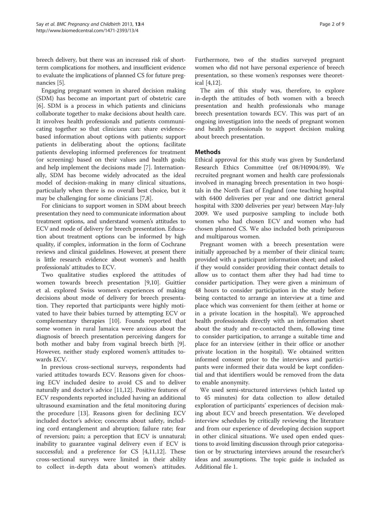breech delivery, but there was an increased risk of shortterm complications for mothers, and insufficient evidence to evaluate the implications of planned CS for future pregnancies [\[5](#page-9-0)].

Engaging pregnant women in shared decision making (SDM) has become an important part of obstetric care [[6\]](#page-9-0). SDM is a process in which patients and clinicians collaborate together to make decisions about health care. It involves health professionals and patients communicating together so that clinicians can: share evidencebased information about options with patients; support patients in deliberating about the options; facilitate patients developing informed preferences for treatment (or screening) based on their values and health goals; and help implement the decisions made [[7](#page-9-0)]. Internationally, SDM has become widely advocated as the ideal model of decision-making in many clinical situations, particularly when there is no overall best choice, but it may be challenging for some clinicians [[7,8\]](#page-9-0).

For clinicians to support women in SDM about breech presentation they need to communicate information about treatment options, and understand women's attitudes to ECV and mode of delivery for breech presentation. Education about treatment options can be informed by high quality, if complex, information in the form of Cochrane reviews and clinical guidelines. However, at present there is little research evidence about women's and health professionals' attitudes to ECV.

Two qualitative studies explored the attitudes of women towards breech presentation [\[9,10\]](#page-9-0). Guittier et al. explored Swiss women's experiences of making decisions about mode of delivery for breech presentation. They reported that participants were highly motivated to have their babies turned by attempting ECV or complementary therapies [[10\]](#page-9-0). Founds reported that some women in rural Jamaica were anxious about the diagnosis of breech presentation perceiving dangers for both mother and baby from vaginal breech birth [\[9](#page-9-0)]. However, neither study explored women's attitudes towards ECV.

In previous cross-sectional surveys, respondents had varied attitudes towards ECV. Reasons given for choosing ECV included desire to avoid CS and to deliver naturally and doctor's advice [[11,12\]](#page-9-0). Positive features of ECV respondents reported included having an additional ultrasound examination and the fetal monitoring during the procedure [\[13\]](#page-9-0). Reasons given for declining ECV included doctor's advice; concerns about safety, including cord entanglement and abruption; failure rate; fear of reversion; pain; a perception that ECV is unnatural; inability to guarantee vaginal delivery even if ECV is successful; and a preference for CS [[4,11,12\]](#page-9-0). These cross-sectional surveys were limited in their ability to collect in-depth data about women's attitudes.

Furthermore, two of the studies surveyed pregnant women who did not have personal experience of breech presentation, so these women's responses were theoretical [[4,12\]](#page-9-0).

The aim of this study was, therefore, to explore in-depth the attitudes of both women with a breech presentation and health professionals who manage breech presentation towards ECV. This was part of an ongoing investigation into the needs of pregnant women and health professionals to support decision making about breech presentation.

# Methods

Ethical approval for this study was given by Sunderland Research Ethics Committee (ref 08/H0904/89). We recruited pregnant women and health care professionals involved in managing breech presentation in two hospitals in the North East of England (one teaching hospital with 6400 deliveries per year and one district general hospital with 3200 deliveries per year) between May-July 2009. We used purposive sampling to include both women who had chosen ECV and women who had chosen planned CS. We also included both primiparous and multiparous women.

Pregnant women with a breech presentation were initially approached by a member of their clinical team; provided with a participant information sheet; and asked if they would consider providing their contact details to allow us to contact them after they had had time to consider participation. They were given a minimum of 48 hours to consider participation in the study before being contacted to arrange an interview at a time and place which was convenient for them (either at home or in a private location in the hospital). We approached health professionals directly with an information sheet about the study and re-contacted them, following time to consider participation, to arrange a suitable time and place for an interview (either in their office or another private location in the hospital). We obtained written informed consent prior to the interviews and participants were informed their data would be kept confidential and that identifiers would be removed from the data to enable anonymity.

We used semi-structured interviews (which lasted up to 45 minutes) for data collection to allow detailed exploration of participants' experiences of decision making about ECV and breech presentation. We developed interview schedules by critically reviewing the literature and from our experience of developing decision support in other clinical situations. We used open ended questions to avoid limiting discussion through prior categorisation or by structuring interviews around the researcher's ideas and assumptions. The topic guide is included as Additional file [1](#page-8-0).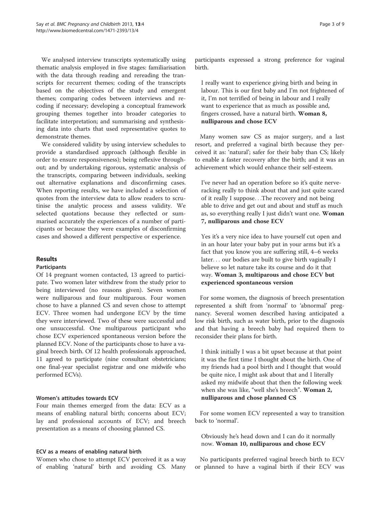We analysed interview transcripts systematically using thematic analysis employed in five stages: familiarisation with the data through reading and rereading the transcripts for recurrent themes; coding of the transcripts based on the objectives of the study and emergent themes; comparing codes between interviews and recoding if necessary; developing a conceptual framework grouping themes together into broader categories to facilitate interpretation; and summarising and synthesising data into charts that used representative quotes to demonstrate themes.

We considered validity by using interview schedules to provide a standardised approach (although flexible in order to ensure responsiveness); being reflexive throughout; and by undertaking rigorous, systematic analysis of the transcripts, comparing between individuals, seeking out alternative explanations and disconfirming cases. When reporting results, we have included a selection of quotes from the interview data to allow readers to scrutinise the analytic process and assess validity. We selected quotations because they reflected or summarised accurately the experiences of a number of participants or because they were examples of disconfirming cases and showed a different perspective or experience.

# Results

# Participants

Of 14 pregnant women contacted, 13 agreed to participate. Two women later withdrew from the study prior to being interviewed (no reasons given). Seven women were nulliparous and four multiparous. Four women chose to have a planned CS and seven chose to attempt ECV. Three women had undergone ECV by the time they were interviewed. Two of these were successful and one unsuccessful. One multiparous participant who chose ECV experienced spontaneous version before the planned ECV. None of the participants chose to have a vaginal breech birth. Of 12 health professionals approached, 11 agreed to participate (nine consultant obstetricians; one final-year specialist registrar and one midwife who performed ECVs).

# Women's attitudes towards ECV

Four main themes emerged from the data: ECV as a means of enabling natural birth; concerns about ECV; lay and professional accounts of ECV; and breech presentation as a means of choosing planned CS.

# ECV as a means of enabling natural birth

Women who chose to attempt ECV perceived it as a way of enabling 'natural' birth and avoiding CS. Many

participants expressed a strong preference for vaginal birth.

I really want to experience giving birth and being in labour. This is our first baby and I'm not frightened of it, I'm not terrified of being in labour and I really want to experience that as much as possible and, fingers crossed, have a natural birth. Woman 8, nulliparous and chose ECV

Many women saw CS as major surgery, and a last resort, and preferred a vaginal birth because they perceived it as: 'natural'; safer for their baby than CS; likely to enable a faster recovery after the birth; and it was an achievement which would enhance their self-esteem.

I've never had an operation before so it's quite nerveracking really to think about that and just quite scared of it really I suppose...The recovery and not being able to drive and get out and about and stuff as much as, so everything really I just didn't want one. Woman 7, nulliparous and chose ECV

Yes it's a very nice idea to have yourself cut open and in an hour later your baby put in your arms but it's a fact that you know you are suffering still, 4–6 weeks later... our bodies are built to give birth vaginally I believe so let nature take its course and do it that way. Woman 3, multiparous and chose ECV but experienced spontaneous version

For some women, the diagnosis of breech presentation represented a shift from 'normal' to 'abnormal' pregnancy. Several women described having anticipated a low risk birth, such as water birth, prior to the diagnosis and that having a breech baby had required them to reconsider their plans for birth.

I think initially I was a bit upset because at that point it was the first time I thought about the birth. One of my friends had a pool birth and I thought that would be quite nice, I might ask about that and I literally asked my midwife about that then the following week when she was like, "well she's breech". Woman 2, nulliparous and chose planned CS

For some women ECV represented a way to transition back to 'normal'.

Obviously he's head down and I can do it normally now. Woman 10, nulliparous and chose ECV

No participants preferred vaginal breech birth to ECV or planned to have a vaginal birth if their ECV was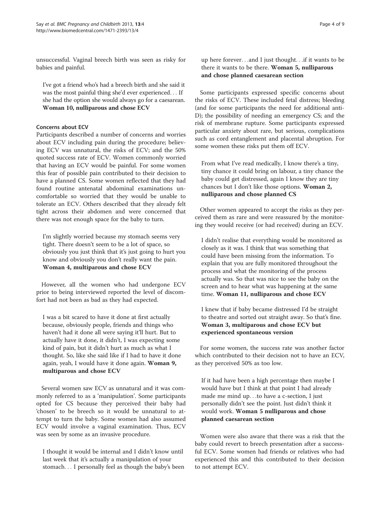unsuccessful. Vaginal breech birth was seen as risky for babies and painful.

I've got a friend who's had a breech birth and she said it was the most painful thing she'd ever experienced... If she had the option she would always go for a caesarean. Woman 10, nulliparous and chose ECV

# Concerns about ECV

Participants described a number of concerns and worries about ECV including pain during the procedure; believing ECV was unnatural, the risks of ECV; and the 50% quoted success rate of ECV. Women commonly worried that having an ECV would be painful. For some women this fear of possible pain contributed to their decision to have a planned CS. Some women reflected that they had found routine antenatal abdominal examinations uncomfortable so worried that they would be unable to tolerate an ECV. Others described that they already felt tight across their abdomen and were concerned that there was not enough space for the baby to turn.

I'm slightly worried because my stomach seems very tight. There doesn't seem to be a lot of space, so obviously you just think that it's just going to hurt you know and obviously you don't really want the pain. Woman 4, multiparous and chose ECV

However, all the women who had undergone ECV prior to being interviewed reported the level of discomfort had not been as bad as they had expected.

I was a bit scared to have it done at first actually because, obviously people, friends and things who haven't had it done all were saying it'll hurt. But to actually have it done, it didn't, I was expecting some kind of pain, but it didn't hurt as much as what I thought. So, like she said like if I had to have it done again, yeah, I would have it done again. Woman 9, multiparous and chose ECV

Several women saw ECV as unnatural and it was commonly referred to as a 'manipulation'. Some participants opted for CS because they perceived their baby had 'chosen' to be breech so it would be unnatural to attempt to turn the baby. Some women had also assumed ECV would involve a vaginal examination. Thus, ECV was seen by some as an invasive procedure.

I thought it would be internal and I didn't know until last week that it's actually a manipulation of your stomach... I personally feel as though the baby's been up here forever...and I just thought...if it wants to be there it wants to be there. Woman 5, nulliparous and chose planned caesarean section

Some participants expressed specific concerns about the risks of ECV. These included fetal distress; bleeding (and for some participants the need for additional anti-D); the possibility of needing an emergency CS; and the risk of membrane rupture. Some participants expressed particular anxiety about rare, but serious, complications such as cord entanglement and placental abruption. For some women these risks put them off ECV.

From what I've read medically, I know there's a tiny, tiny chance it could bring on labour, a tiny chance the baby could get distressed, again I know they are tiny chances but I don't like those options. Woman 2, nulliparous and chose planned CS

Other women appeared to accept the risks as they perceived them as rare and were reassured by the monitoring they would receive (or had received) during an ECV.

I didn't realise that everything would be monitored as closely as it was. I think that was something that could have been missing from the information. To explain that you are fully monitored throughout the process and what the monitoring of the process actually was. So that was nice to see the baby on the screen and to hear what was happening at the same time. Woman 11, nulliparous and chose ECV

I knew that if baby became distressed I'd be straight to theatre and sorted out straight away. So that's fine. Woman 3, multiparous and chose ECV but experienced spontaneous version

For some women, the success rate was another factor which contributed to their decision not to have an ECV, as they perceived 50% as too low.

If it had have been a high percentage then maybe I would have but I think at that point I had already made me mind up...to have a c-section, I just personally didn't see the point. Just didn't think it would work. Woman 5 nulliparous and chose planned caesarean section

Women were also aware that there was a risk that the baby could revert to breech presentation after a successful ECV. Some women had friends or relatives who had experienced this and this contributed to their decision to not attempt ECV.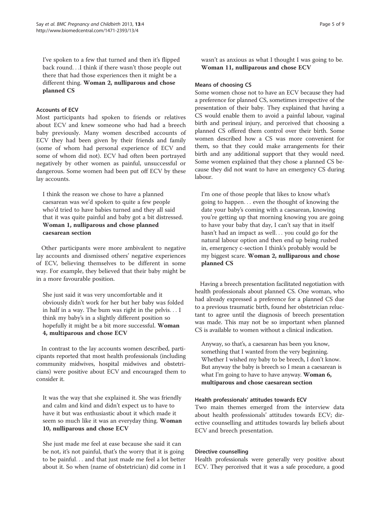I've spoken to a few that turned and then it's flipped back round...I think if there wasn't those people out there that had those experiences then it might be a different thing. Woman 2, nulliparous and chose planned CS

# Accounts of ECV

Most participants had spoken to friends or relatives about ECV and knew someone who had had a breech baby previously. Many women described accounts of ECV they had been given by their friends and family (some of whom had personal experience of ECV and some of whom did not). ECV had often been portrayed negatively by other women as painful, unsuccessful or dangerous. Some women had been put off ECV by these lay accounts.

I think the reason we chose to have a planned caesarean was we'd spoken to quite a few people who'd tried to have babies turned and they all said that it was quite painful and baby got a bit distressed. Woman 1, nulliparous and chose planned caesarean section

Other participants were more ambivalent to negative lay accounts and dismissed others' negative experiences of ECV, believing themselves to be different in some way. For example, they believed that their baby might be in a more favourable position.

She just said it was very uncomfortable and it obviously didn't work for her but her baby was folded in half in a way. The bum was right in the pelvis... I think my baby's in a slightly different position so hopefully it might be a bit more successful. Woman 4, multiparous and chose ECV

In contrast to the lay accounts women described, participants reported that most health professionals (including community midwives, hospital midwives and obstetricians) were positive about ECV and encouraged them to consider it.

It was the way that she explained it. She was friendly and calm and kind and didn't expect us to have to have it but was enthusiastic about it which made it seem so much like it was an everyday thing. Woman 10, nulliparous and chose ECV

She just made me feel at ease because she said it can be not, it's not painful, that's the worry that it is going to be painful... and that just made me feel a lot better about it. So when (name of obstetrician) did come in I wasn't as anxious as what I thought I was going to be. Woman 11, nulliparous and chose ECV

## Means of choosing CS

Some women chose not to have an ECV because they had a preference for planned CS, sometimes irrespective of the presentation of their baby. They explained that having a CS would enable them to avoid a painful labour, vaginal birth and perineal injury, and perceived that choosing a planned CS offered them control over their birth. Some women described how a CS was more convenient for them, so that they could make arrangements for their birth and any additional support that they would need. Some women explained that they chose a planned CS because they did not want to have an emergency CS during labour.

I'm one of those people that likes to know what's going to happen... even the thought of knowing the date your baby's coming with a caesarean, knowing you're getting up that morning knowing you are going to have your baby that day, I can't say that in itself hasn't had an impact as well... you could go for the natural labour option and then end up being rushed in, emergency c-section I think's probably would be my biggest scare. Woman 2, nulliparous and chose planned CS

Having a breech presentation facilitated negotiation with health professionals about planned CS. One woman, who had already expressed a preference for a planned CS due to a previous traumatic birth, found her obstetrician reluctant to agree until the diagnosis of breech presentation was made. This may not be so important when planned CS is available to women without a clinical indication.

Anyway, so that's, a caesarean has been you know, something that I wanted from the very beginning. Whether I wished my baby to be breech, I don't know. But anyway the baby is breech so I mean a caesarean is what I'm going to have to have anyway. **Woman 6,** multiparous and chose caesarean section

## Health professionals' attitudes towards ECV

Two main themes emerged from the interview data about health professionals' attitudes towards ECV; directive counselling and attitudes towards lay beliefs about ECV and breech presentation.

## Directive counselling

Health professionals were generally very positive about ECV. They perceived that it was a safe procedure, a good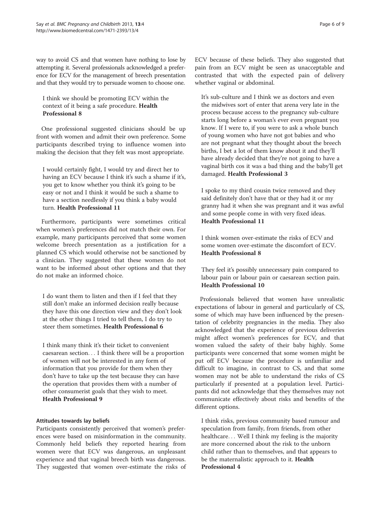way to avoid CS and that women have nothing to lose by attempting it. Several professionals acknowledged a preference for ECV for the management of breech presentation and that they would try to persuade women to choose one.

# I think we should be promoting ECV within the context of it being a safe procedure. Health Professional 8

One professional suggested clinicians should be up front with women and admit their own preference. Some participants described trying to influence women into making the decision that they felt was most appropriate.

I would certainly fight, I would try and direct her to having an ECV because I think it's such a shame if it's, you get to know whether you think it's going to be easy or not and I think it would be such a shame to have a section needlessly if you think a baby would turn. Health Professional 11

Furthermore, participants were sometimes critical when women's preferences did not match their own. For example, many participants perceived that some women welcome breech presentation as a justification for a planned CS which would otherwise not be sanctioned by a clinician. They suggested that these women do not want to be informed about other options and that they do not make an informed choice.

I do want them to listen and then if I feel that they still don't make an informed decision really because they have this one direction view and they don't look at the other things I tried to tell them, I do try to steer them sometimes. Health Professional 6

I think many think it's their ticket to convenient caesarean section... I think there will be a proportion of women will not be interested in any form of information that you provide for them when they don't have to take up the test because they can have the operation that provides them with a number of other consumerist goals that they wish to meet. Health Professional 9

# Attitudes towards lay beliefs

Participants consistently perceived that women's preferences were based on misinformation in the community. Commonly held beliefs they reported hearing from women were that ECV was dangerous, an unpleasant experience and that vaginal breech birth was dangerous. They suggested that women over-estimate the risks of ECV because of these beliefs. They also suggested that pain from an ECV might be seen as unacceptable and contrasted that with the expected pain of delivery whether vaginal or abdominal.

It's sub-culture and I think we as doctors and even the midwives sort of enter that arena very late in the process because access to the pregnancy sub-culture starts long before a woman's ever even pregnant you know. If I were to, if you were to ask a whole bunch of young women who have not got babies and who are not pregnant what they thought about the breech births, I bet a lot of them know about it and they'll have already decided that they're not going to have a vaginal birth cos it was a bad thing and the baby'll get damaged. Health Professional 3

I spoke to my third cousin twice removed and they said definitely don't have that or they had it or my granny had it when she was pregnant and it was awful and some people come in with very fixed ideas. Health Professional 11

I think women over-estimate the risks of ECV and some women over-estimate the discomfort of ECV. Health Professional 8

They feel it's possibly unnecessary pain compared to labour pain or labour pain or caesarean section pain. Health Professional 10

Professionals believed that women have unrealistic expectations of labour in general and particularly of CS, some of which may have been influenced by the presentation of celebrity pregnancies in the media. They also acknowledged that the experience of previous deliveries might affect women's preferences for ECV, and that women valued the safety of their baby highly. Some participants were concerned that some women might be put off ECV because the procedure is unfamiliar and difficult to imagine, in contrast to CS, and that some women may not be able to understand the risks of CS particularly if presented at a population level. Participants did not acknowledge that they themselves may not communicate effectively about risks and benefits of the different options.

I think risks, previous community based rumour and speculation from family, from friends, from other healthcare... Well I think my feeling is the majority are more concerned about the risk to the unborn child rather than to themselves, and that appears to be the maternalistic approach to it. Health Professional 4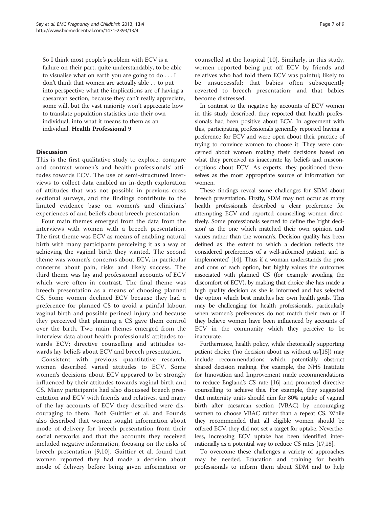So I think most people's problem with ECV is a failure on their part, quite understandably, to be able to visualise what on earth you are going to do ... I don't think that women are actually able ...to put into perspective what the implications are of having a caesarean section, because they can't really appreciate, some will, but the vast majority won't appreciate how to translate population statistics into their own individual, into what it means to them as an individual. Health Professional 9

# **Discussion**

This is the first qualitative study to explore, compare and contrast women's and health professionals' attitudes towards ECV. The use of semi-structured interviews to collect data enabled an in-depth exploration of attitudes that was not possible in previous cross sectional surveys, and the findings contribute to the limited evidence base on women's and clinicians' experiences of and beliefs about breech presentation.

Four main themes emerged from the data from the interviews with women with a breech presentation. The first theme was ECV as means of enabling natural birth with many participants perceiving it as a way of achieving the vaginal birth they wanted. The second theme was women's concerns about ECV, in particular concerns about pain, risks and likely success. The third theme was lay and professional accounts of ECV which were often in contrast. The final theme was breech presentation as a means of choosing planned CS. Some women declined ECV because they had a preference for planned CS to avoid a painful labour, vaginal birth and possible perineal injury and because they perceived that planning a CS gave them control over the birth. Two main themes emerged from the interview data about health professionals' attitudes towards ECV; directive counselling and attitudes towards lay beliefs about ECV and breech presentation.

Consistent with previous quantitative research, women described varied attitudes to ECV. Some women's decisions about ECV appeared to be strongly influenced by their attitudes towards vaginal birth and CS. Many participants had also discussed breech presentation and ECV with friends and relatives, and many of the lay accounts of ECV they described were discouraging to them. Both Guittier et al. and Founds also described that women sought information about mode of delivery for breech presentation from their social networks and that the accounts they received included negative information, focusing on the risks of breech presentation [[9,10\]](#page-9-0). Guittier et al. found that women reported they had made a decision about mode of delivery before being given information or counselled at the hospital [[10](#page-9-0)]. Similarly, in this study, women reported being put off ECV by friends and relatives who had told them ECV was painful; likely to be unsuccessful; that babies often subsequently reverted to breech presentation; and that babies become distressed.

In contrast to the negative lay accounts of ECV women in this study described, they reported that health professionals had been positive about ECV. In agreement with this, participating professionals generally reported having a preference for ECV and were open about their practice of trying to convince women to choose it. They were concerned about women making their decisions based on what they perceived as inaccurate lay beliefs and misconceptions about ECV. As experts, they positioned themselves as the most appropriate source of information for women.

These findings reveal some challenges for SDM about breech presentation. Firstly, SDM may not occur as many health professionals described a clear preference for attempting ECV and reported counselling women directively. Some professionals seemed to define the 'right decision' as the one which matched their own opinion and values rather than the woman's. Decision quality has been defined as 'the extent to which a decision reflects the considered preferences of a well-informed patient, and is implemented' [\[14\]](#page-9-0). Thus if a woman understands the pros and cons of each option, but highly values the outcomes associated with planned CS (for example avoiding the discomfort of ECV), by making that choice she has made a high quality decision as she is informed and has selected the option which best matches her own health goals. This may be challenging for health professionals, particularly when women's preferences do not match their own or if they believe women have been influenced by accounts of ECV in the community which they perceive to be inaccurate.

Furthermore, health policy, while rhetorically supporting patient choice ('no decision about us without us'[\[15](#page-9-0)]) may include recommendations which potentially obstruct shared decision making. For example, the NHS Institute for Innovation and Improvement made recommendations to reduce England's CS rate [[16\]](#page-9-0) and promoted directive counselling to achieve this. For example, they suggested that maternity units should aim for 80% uptake of vaginal birth after caesarean section (VBAC) by encouraging women to choose VBAC rather than a repeat CS. While they recommended that all eligible women should be offered ECV, they did not set a target for uptake. Nevertheless, increasing ECV uptake has been identified internationally as a potential way to reduce CS rates [[17,18](#page-9-0)].

To overcome these challenges a variety of approaches may be needed. Education and training for health professionals to inform them about SDM and to help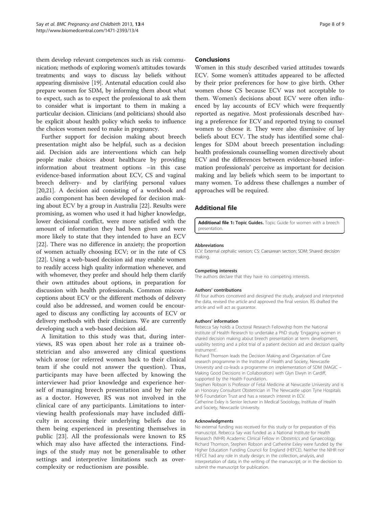<span id="page-8-0"></span>them develop relevant competences such as risk communication; methods of exploring women's attitudes towards treatments; and ways to discuss lay beliefs without appearing dismissive [\[19\]](#page-9-0). Antenatal education could also prepare women for SDM, by informing them about what to expect, such as to expect the professional to ask them to consider what is important to them in making a particular decision. Clinicians (and politicians) should also be explicit about health policy which seeks to influence the choices women need to make in pregnancy.

Further support for decision making about breech presentation might also be helpful, such as a decision aid. Decision aids are interventions which can help people make choices about healthcare by providing information about treatment options –in this case evidence-based information about ECV, CS and vaginal breech delivery- and by clarifying personal values [[20,21\]](#page-9-0). A decision aid consisting of a workbook and audio component has been developed for decision making about ECV by a group in Australia [\[22\]](#page-9-0). Results were promising, as women who used it had higher knowledge, lower decisional conflict, were more satisfied with the amount of information they had been given and were more likely to state that they intended to have an ECV [[22\]](#page-9-0). There was no difference in anxiety; the proportion of women actually choosing ECV; or in the rate of CS [[22\]](#page-9-0). Using a web-based decision aid may enable women to readily access high quality information whenever, and with whomever, they prefer and should help them clarify their own attitudes about options, in preparation for discussion with health professionals. Common misconceptions about ECV or the different methods of delivery could also be addressed, and women could be encouraged to discuss any conflicting lay accounts of ECV or delivery methods with their clinicians. We are currently developing such a web-based decision aid.

A limitation to this study was that, during interviews, RS was open about her role as a trainee obstetrician and also answered any clinical questions which arose (or referred women back to their clinical team if she could not answer the question). Thus, participants may have been affected by knowing the interviewer had prior knowledge and experience herself of managing breech presentation and by her role as a doctor. However, RS was not involved in the clinical care of any participants. Limitations to interviewing health professionals may have included difficulty in accessing their underlying beliefs due to them being experienced in presenting themselves in public [[23](#page-9-0)]. All the professionals were known to RS which may also have affected the interactions. Findings of the study may not be generalisable to other settings and interpretive limitations such as overcomplexity or reductionism are possible.

## Conclusions

Women in this study described varied attitudes towards ECV. Some women's attitudes appeared to be affected by their prior preferences for how to give birth. Other women chose CS because ECV was not acceptable to them. Women's decisions about ECV were often influenced by lay accounts of ECV which were frequently reported as negative. Most professionals described having a preference for ECV and reported trying to counsel women to choose it. They were also dismissive of lay beliefs about ECV. The study has identified some challenges for SDM about breech presentation including: health professionals counselling women directively about ECV and the differences between evidence-based information professionals' perceive as important for decision making and lay beliefs which seem to be important to many women. To address these challenges a number of approaches will be required.

## Additional file

[Additional file 1:](http://www.biomedcentral.com/content/supplementary/1471-2393-13-4-S1.docx) Topic Guides. Topic Guide for women with a breech presentation.

#### Abbreviations

ECV: External cephalic version; CS: Caesarean section; SDM: Shared decision making.

#### Competing interests

The authors declare that they have no competing interests.

#### Authors' contributions

All four authors conceived and designed the study, analysed and interpreted the data, revised the article and approved the final version. RS drafted the article and will act as guarantor.

### Authors' information

Rebecca Say holds a Doctoral Research Fellowship from the National Institute of Health Research to undertake a PhD study 'Engaging women in shared decision making about breech presentation at term: development, usability testing and a pilot trial of a patient decision aid and decision quality instrument'.

Richard Thomson leads the Decision Making and Organisation of Care research programme in the Institute of Health and Society, Newcastle University and co-leads a programme on implementation of SDM (MAGIC – Making Good Decisions in Collaboration) with Glyn Elwyn in Cardiff, supported by the Health Foundation.

Stephen Robson is Professor of Fetal Medicine at Newcastle University and is an Honorary Consultant Obstetrician in The Newcastle upon Tyne Hospitals NHS Foundation Trust and has a research interest in ECV. Catherine Exley is Senior lecturer in Medical Sociology, Institute of Health

and Society, Newcastle University.

## Acknowledgments

No external funding was received for this study or for preparation of this manuscript. Rebecca Say was funded as a National Institute for Health Research (NIHR) Academic Clinical Fellow in Obstetrics and Gynaecology. Richard Thomson, Stephen Robson and Catherine Exley were funded by the Higher Education Funding Council for England (HEFCE). Neither the NIHR nor HEFCE had any role in study design; in the collection, analysis, and interpretation of data; in the writing of the manuscript; or in the decision to submit the manuscript for publication.